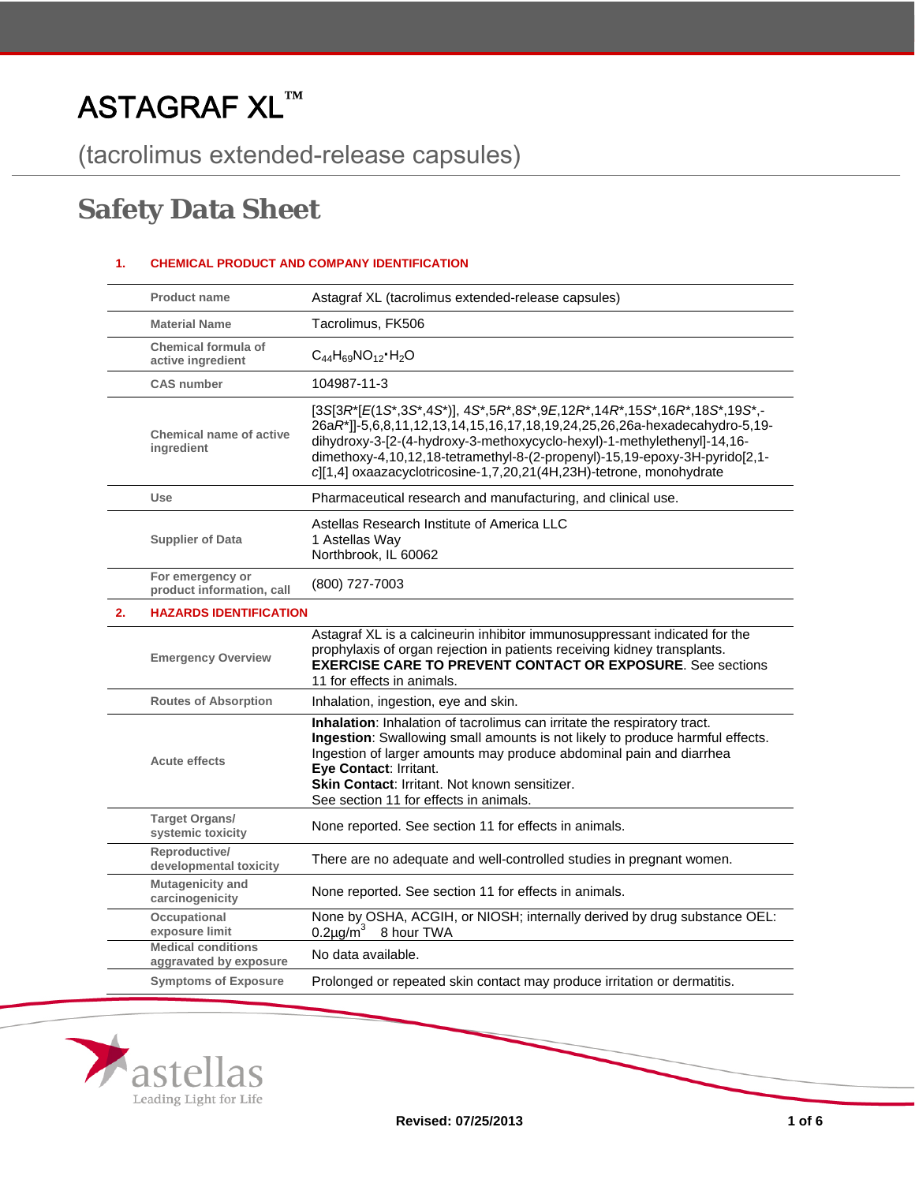# ASTAGRAF XL**™**

(tacrolimus extended-release capsules)

## **Safety Data Sheet**

## **1. CHEMICAL PRODUCT AND COMPANY IDENTIFICATION**

|    | <b>Product name</b>                                 | Astagraf XL (tacrolimus extended-release capsules)                                                                                                                                                                                                                                                                                                                                                      |
|----|-----------------------------------------------------|---------------------------------------------------------------------------------------------------------------------------------------------------------------------------------------------------------------------------------------------------------------------------------------------------------------------------------------------------------------------------------------------------------|
|    | <b>Material Name</b>                                | Tacrolimus, FK506                                                                                                                                                                                                                                                                                                                                                                                       |
|    | Chemical formula of<br>active ingredient            | $C_{44}H_{69}NO_{12}$ -H <sub>2</sub> O                                                                                                                                                                                                                                                                                                                                                                 |
|    | <b>CAS</b> number                                   | 104987-11-3                                                                                                                                                                                                                                                                                                                                                                                             |
|    | Chemical name of active<br>ingredient               | $[3S]3R^*[E(1S^*,3S^*,4S^*)]$ , $4S^*,5R^*,8S^*,9E,12R^*,14R^*,15S^*,16R^*,18S^*,19S^*$ ,-<br>26aR*]]-5,6,8,11,12,13,14,15,16,17,18,19,24,25,26,26a-hexadecahydro-5,19-<br>dihydroxy-3-[2-(4-hydroxy-3-methoxycyclo-hexyl)-1-methylethenyl]-14,16-<br>dimethoxy-4,10,12,18-tetramethyl-8-(2-propenyl)-15,19-epoxy-3H-pyrido[2,1-<br>c][1,4] oxaazacyclotricosine-1,7,20,21(4H,23H)-tetrone, monohydrate |
|    | <b>Use</b>                                          | Pharmaceutical research and manufacturing, and clinical use.                                                                                                                                                                                                                                                                                                                                            |
|    | <b>Supplier of Data</b>                             | Astellas Research Institute of America LLC<br>1 Astellas Way<br>Northbrook, IL 60062                                                                                                                                                                                                                                                                                                                    |
|    | For emergency or<br>product information, call       | (800) 727-7003                                                                                                                                                                                                                                                                                                                                                                                          |
| 2. | <b>HAZARDS IDENTIFICATION</b>                       |                                                                                                                                                                                                                                                                                                                                                                                                         |
|    | <b>Emergency Overview</b>                           | Astagraf XL is a calcineurin inhibitor immunosuppressant indicated for the<br>prophylaxis of organ rejection in patients receiving kidney transplants.<br><b>EXERCISE CARE TO PREVENT CONTACT OR EXPOSURE.</b> See sections<br>11 for effects in animals.                                                                                                                                               |
|    | <b>Routes of Absorption</b>                         | Inhalation, ingestion, eye and skin.                                                                                                                                                                                                                                                                                                                                                                    |
|    | <b>Acute effects</b>                                | Inhalation: Inhalation of tacrolimus can irritate the respiratory tract.<br>Ingestion: Swallowing small amounts is not likely to produce harmful effects.<br>Ingestion of larger amounts may produce abdominal pain and diarrhea<br>Eye Contact: Irritant.<br><b>Skin Contact: Irritant. Not known sensitizer.</b><br>See section 11 for effects in animals.                                            |
|    | Target Organs/<br>systemic toxicity                 | None reported. See section 11 for effects in animals.                                                                                                                                                                                                                                                                                                                                                   |
|    | Reproductive/<br>developmental toxicity             | There are no adequate and well-controlled studies in pregnant women.                                                                                                                                                                                                                                                                                                                                    |
|    | <b>Mutagenicity and</b><br>carcinogenicity          | None reported. See section 11 for effects in animals.                                                                                                                                                                                                                                                                                                                                                   |
|    | Occupational<br>exposure limit                      | None by OSHA, ACGIH, or NIOSH; internally derived by drug substance OEL:<br>8 hour TWA<br>$0.2$ µg/m <sup>3</sup>                                                                                                                                                                                                                                                                                       |
|    | <b>Medical conditions</b><br>aggravated by exposure | No data available.                                                                                                                                                                                                                                                                                                                                                                                      |
|    | <b>Symptoms of Exposure</b>                         | Prolonged or repeated skin contact may produce irritation or dermatitis.                                                                                                                                                                                                                                                                                                                                |

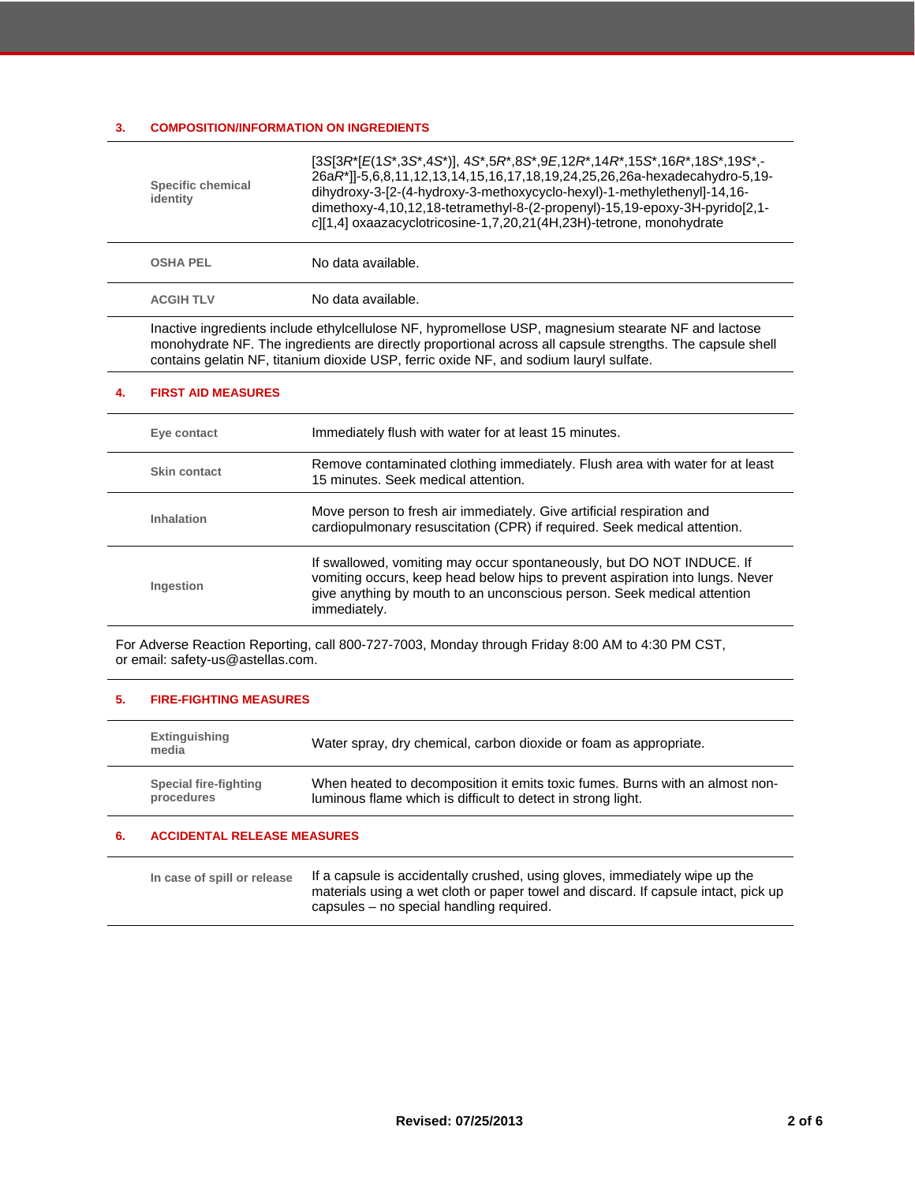## **3. COMPOSITION/INFORMATION ON INGREDIENTS**

| <b>Specific chemical</b><br>identity | [3S[3R*[E(1S*,3S*,4S*)], 4S*,5R*,8S*,9E,12R*,14R*,15S*,16R*,18S*,19S*,-<br>26aR*]]-5,6,8,11,12,13,14,15,16,17,18,19,24,25,26,26a-hexadecahydro-5,19-<br>dihydroxy-3-[2-(4-hydroxy-3-methoxycyclo-hexyl)-1-methylethenyl]-14,16-<br>dimethoxy-4,10,12,18-tetramethyl-8-(2-propenyl)-15,19-epoxy-3H-pyrido[2,1-<br>cl[1,4] oxaazacyclotricosine-1,7,20,21(4H,23H)-tetrone, monohydrate |
|--------------------------------------|--------------------------------------------------------------------------------------------------------------------------------------------------------------------------------------------------------------------------------------------------------------------------------------------------------------------------------------------------------------------------------------|
| <b>OSHA PEL</b>                      | No data available.                                                                                                                                                                                                                                                                                                                                                                   |
| <b>ACGIH TLV</b>                     | No data available.                                                                                                                                                                                                                                                                                                                                                                   |
|                                      | Inactive ingredients include ethylcellulose NF, hypromellose USP, magnesium stearate NF and lactose<br>monohydrate NF. The ingredients are directly proportional across all capsule strengths. The capsule shell<br>contains gelatin NF, titanium dioxide USP, ferric oxide NF, and sodium lauryl sulfate.                                                                           |

#### **4. FIRST AID MEASURES**

| Eye contact  | Immediately flush with water for at least 15 minutes.                                                                                                                                                                                             |
|--------------|---------------------------------------------------------------------------------------------------------------------------------------------------------------------------------------------------------------------------------------------------|
| Skin contact | Remove contaminated clothing immediately. Flush area with water for at least<br>15 minutes. Seek medical attention.                                                                                                                               |
| Inhalation   | Move person to fresh air immediately. Give artificial respiration and<br>cardiopulmonary resuscitation (CPR) if required. Seek medical attention.                                                                                                 |
| Ingestion    | If swallowed, vomiting may occur spontaneously, but DO NOT INDUCE. If<br>vomiting occurs, keep head below hips to prevent aspiration into lungs. Never<br>give anything by mouth to an unconscious person. Seek medical attention<br>immediately. |

For Adverse Reaction Reporting, call 800-727-7003, Monday through Friday 8:00 AM to 4:30 PM CST, or email: safety-us@astellas.com.

## **5. FIRE-FIGHTING MEASURES**

| Extinguishing<br>media | Water spray, dry chemical, carbon dioxide or foam as appropriate.            |
|------------------------|------------------------------------------------------------------------------|
| Special fire-fighting  | When heated to decomposition it emits toxic fumes. Burns with an almost non- |
| procedures             | luminous flame which is difficult to detect in strong light.                 |

## **6. ACCIDENTAL RELEASE MEASURES**

| If a capsule is accidentally crushed, using gloves, immediately wipe up the<br>In case of spill or release<br>materials using a wet cloth or paper towel and discard. If capsule intact, pick up<br>capsules – no special handling required. |
|----------------------------------------------------------------------------------------------------------------------------------------------------------------------------------------------------------------------------------------------|
|----------------------------------------------------------------------------------------------------------------------------------------------------------------------------------------------------------------------------------------------|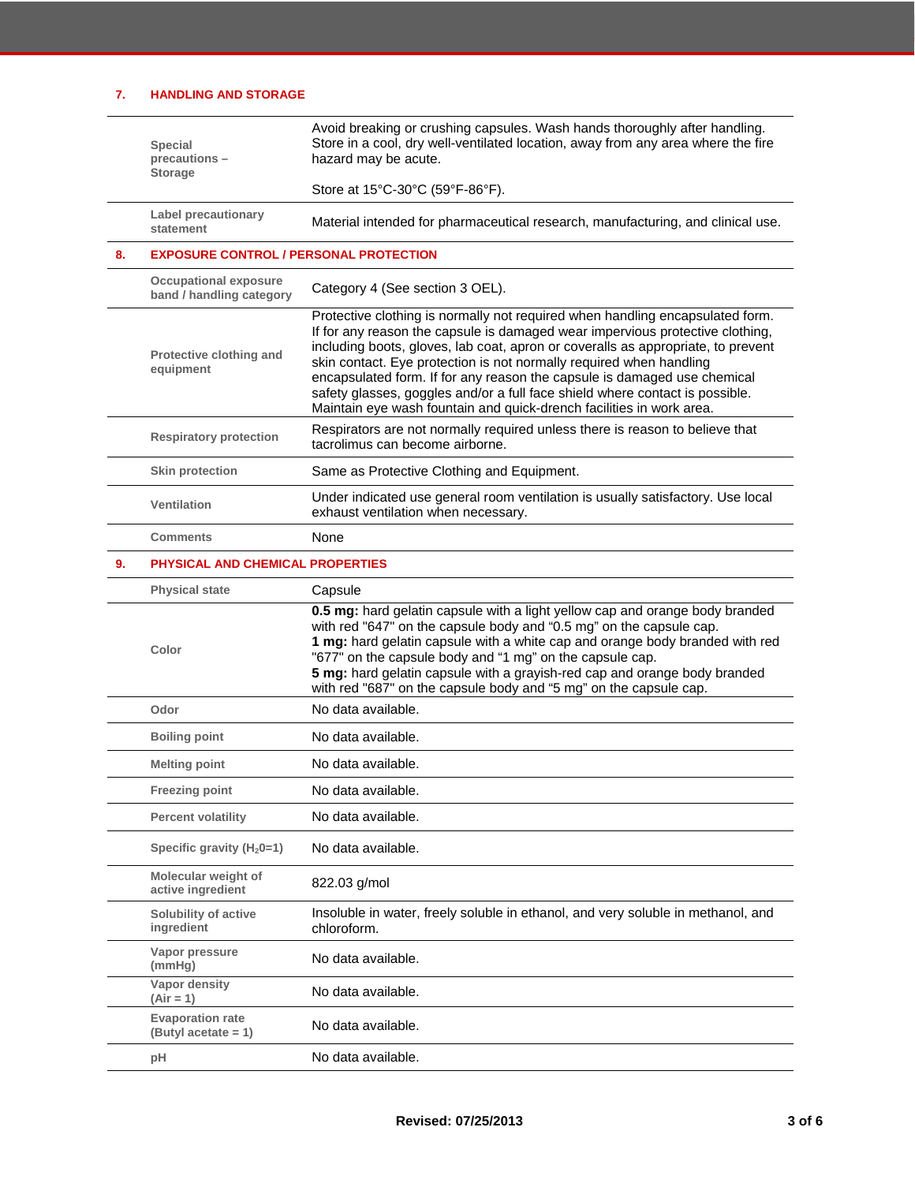## **7. HANDLING AND STORAGE**

|    | <b>Special</b><br>precautions-<br><b>Storage</b>         | Avoid breaking or crushing capsules. Wash hands thoroughly after handling.<br>Store in a cool, dry well-ventilated location, away from any area where the fire<br>hazard may be acute.                                                                                                                                                                                                                                                                                                                                                                        |
|----|----------------------------------------------------------|---------------------------------------------------------------------------------------------------------------------------------------------------------------------------------------------------------------------------------------------------------------------------------------------------------------------------------------------------------------------------------------------------------------------------------------------------------------------------------------------------------------------------------------------------------------|
|    |                                                          | Store at 15°C-30°C (59°F-86°F).                                                                                                                                                                                                                                                                                                                                                                                                                                                                                                                               |
|    | <b>Label precautionary</b><br>statement                  | Material intended for pharmaceutical research, manufacturing, and clinical use.                                                                                                                                                                                                                                                                                                                                                                                                                                                                               |
| 8. | <b>EXPOSURE CONTROL / PERSONAL PROTECTION</b>            |                                                                                                                                                                                                                                                                                                                                                                                                                                                                                                                                                               |
|    | <b>Occupational exposure</b><br>band / handling category | Category 4 (See section 3 OEL).                                                                                                                                                                                                                                                                                                                                                                                                                                                                                                                               |
|    | Protective clothing and<br>equipment                     | Protective clothing is normally not required when handling encapsulated form.<br>If for any reason the capsule is damaged wear impervious protective clothing,<br>including boots, gloves, lab coat, apron or coveralls as appropriate, to prevent<br>skin contact. Eye protection is not normally required when handling<br>encapsulated form. If for any reason the capsule is damaged use chemical<br>safety glasses, goggles and/or a full face shield where contact is possible.<br>Maintain eye wash fountain and quick-drench facilities in work area. |
|    | <b>Respiratory protection</b>                            | Respirators are not normally required unless there is reason to believe that<br>tacrolimus can become airborne.                                                                                                                                                                                                                                                                                                                                                                                                                                               |
|    | <b>Skin protection</b>                                   | Same as Protective Clothing and Equipment.                                                                                                                                                                                                                                                                                                                                                                                                                                                                                                                    |
|    | <b>Ventilation</b>                                       | Under indicated use general room ventilation is usually satisfactory. Use local<br>exhaust ventilation when necessary.                                                                                                                                                                                                                                                                                                                                                                                                                                        |
|    | <b>Comments</b>                                          | None                                                                                                                                                                                                                                                                                                                                                                                                                                                                                                                                                          |
| 9. | PHYSICAL AND CHEMICAL PROPERTIES                         |                                                                                                                                                                                                                                                                                                                                                                                                                                                                                                                                                               |
|    | <b>Physical state</b>                                    | Capsule                                                                                                                                                                                                                                                                                                                                                                                                                                                                                                                                                       |
|    |                                                          | 0.5 mg: hard gelatin capsule with a light yellow cap and orange body branded                                                                                                                                                                                                                                                                                                                                                                                                                                                                                  |
|    | Color                                                    | with red "647" on the capsule body and "0.5 mg" on the capsule cap.<br>1 mg: hard gelatin capsule with a white cap and orange body branded with red<br>"677" on the capsule body and "1 mg" on the capsule cap.<br>5 mg: hard gelatin capsule with a grayish-red cap and orange body branded<br>with red "687" on the capsule body and "5 mg" on the capsule cap.                                                                                                                                                                                             |
|    | Odor                                                     | No data available.                                                                                                                                                                                                                                                                                                                                                                                                                                                                                                                                            |
|    | <b>Boiling point</b>                                     | No data available.                                                                                                                                                                                                                                                                                                                                                                                                                                                                                                                                            |
|    | <b>Melting point</b>                                     | No data available.                                                                                                                                                                                                                                                                                                                                                                                                                                                                                                                                            |
|    | <b>Freezing point</b>                                    | No data available.                                                                                                                                                                                                                                                                                                                                                                                                                                                                                                                                            |
|    | <b>Percent volatility</b>                                | No data available.                                                                                                                                                                                                                                                                                                                                                                                                                                                                                                                                            |
|    | Specific gravity $(H_20=1)$                              | No data available.                                                                                                                                                                                                                                                                                                                                                                                                                                                                                                                                            |
|    | Molecular weight of<br>active ingredient                 | 822.03 g/mol                                                                                                                                                                                                                                                                                                                                                                                                                                                                                                                                                  |
|    | Solubility of active<br>ingredient                       | Insoluble in water, freely soluble in ethanol, and very soluble in methanol, and<br>chloroform.                                                                                                                                                                                                                                                                                                                                                                                                                                                               |
|    | Vapor pressure<br>(mmHg)                                 | No data available.                                                                                                                                                                                                                                                                                                                                                                                                                                                                                                                                            |
|    | Vapor density<br>$(Air = 1)$                             | No data available.                                                                                                                                                                                                                                                                                                                                                                                                                                                                                                                                            |
|    | <b>Evaporation rate</b><br>$(ButyI acctate = 1)$         | No data available.                                                                                                                                                                                                                                                                                                                                                                                                                                                                                                                                            |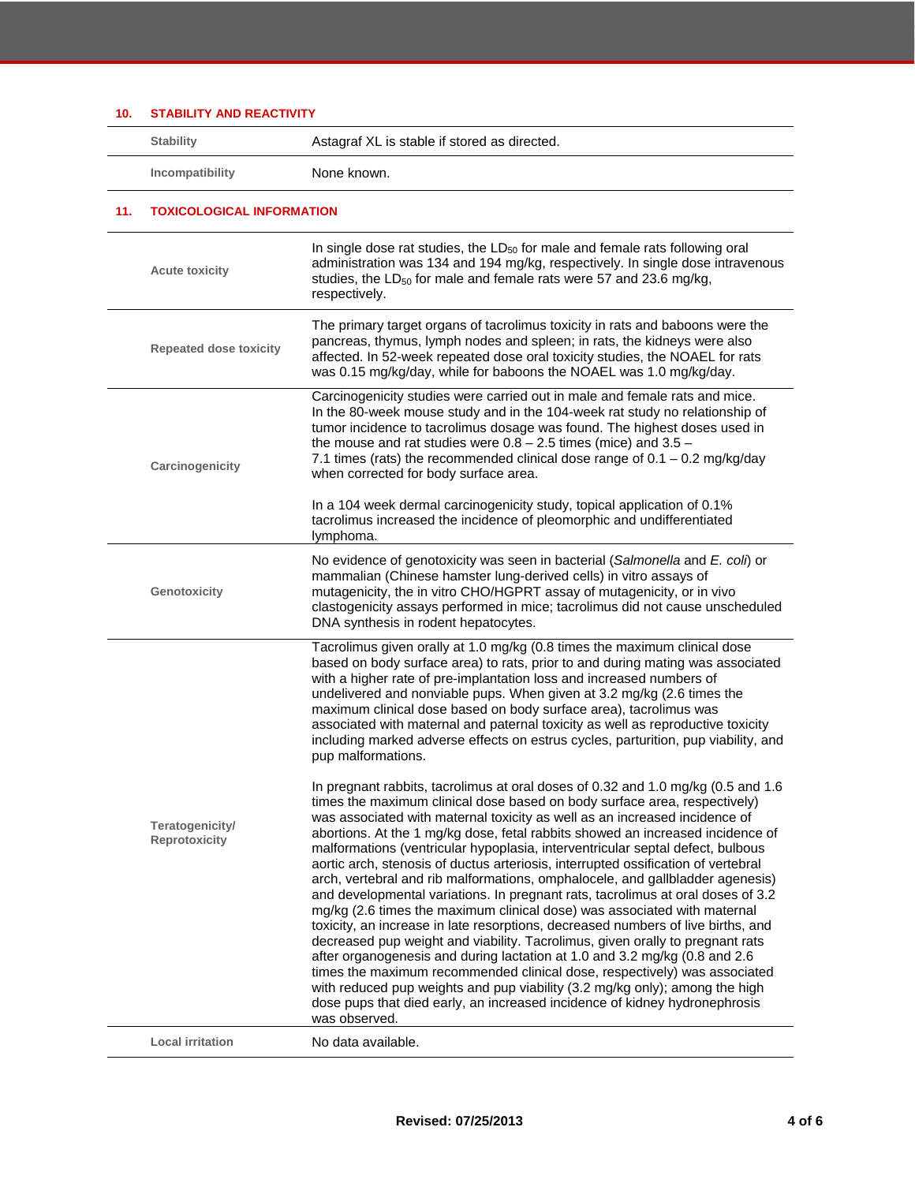| 10. | <b>STABILITY AND REACTIVITY</b>  |                                                                                                                                                                                                                                                                                                                                                                                                                                                                                                                                                                                                                                                                                                                                                                                                                                                                                                                                                                                                                                                                                                                                                                                                                                                                     |
|-----|----------------------------------|---------------------------------------------------------------------------------------------------------------------------------------------------------------------------------------------------------------------------------------------------------------------------------------------------------------------------------------------------------------------------------------------------------------------------------------------------------------------------------------------------------------------------------------------------------------------------------------------------------------------------------------------------------------------------------------------------------------------------------------------------------------------------------------------------------------------------------------------------------------------------------------------------------------------------------------------------------------------------------------------------------------------------------------------------------------------------------------------------------------------------------------------------------------------------------------------------------------------------------------------------------------------|
|     | <b>Stability</b>                 | Astagraf XL is stable if stored as directed.                                                                                                                                                                                                                                                                                                                                                                                                                                                                                                                                                                                                                                                                                                                                                                                                                                                                                                                                                                                                                                                                                                                                                                                                                        |
|     | Incompatibility                  | None known.                                                                                                                                                                                                                                                                                                                                                                                                                                                                                                                                                                                                                                                                                                                                                                                                                                                                                                                                                                                                                                                                                                                                                                                                                                                         |
| 11. | <b>TOXICOLOGICAL INFORMATION</b> |                                                                                                                                                                                                                                                                                                                                                                                                                                                                                                                                                                                                                                                                                                                                                                                                                                                                                                                                                                                                                                                                                                                                                                                                                                                                     |
|     | <b>Acute toxicity</b>            | In single dose rat studies, the LD <sub>50</sub> for male and female rats following oral<br>administration was 134 and 194 mg/kg, respectively. In single dose intravenous<br>studies, the LD <sub>50</sub> for male and female rats were 57 and 23.6 mg/kg,<br>respectively.                                                                                                                                                                                                                                                                                                                                                                                                                                                                                                                                                                                                                                                                                                                                                                                                                                                                                                                                                                                       |
|     | <b>Repeated dose toxicity</b>    | The primary target organs of tacrolimus toxicity in rats and baboons were the<br>pancreas, thymus, lymph nodes and spleen; in rats, the kidneys were also<br>affected. In 52-week repeated dose oral toxicity studies, the NOAEL for rats<br>was 0.15 mg/kg/day, while for baboons the NOAEL was 1.0 mg/kg/day.                                                                                                                                                                                                                                                                                                                                                                                                                                                                                                                                                                                                                                                                                                                                                                                                                                                                                                                                                     |
|     | Carcinogenicity                  | Carcinogenicity studies were carried out in male and female rats and mice.<br>In the 80-week mouse study and in the 104-week rat study no relationship of<br>tumor incidence to tacrolimus dosage was found. The highest doses used in<br>the mouse and rat studies were $0.8 - 2.5$ times (mice) and $3.5 -$<br>7.1 times (rats) the recommended clinical dose range of $0.1 - 0.2$ mg/kg/day<br>when corrected for body surface area.                                                                                                                                                                                                                                                                                                                                                                                                                                                                                                                                                                                                                                                                                                                                                                                                                             |
|     |                                  | In a 104 week dermal carcinogenicity study, topical application of 0.1%<br>tacrolimus increased the incidence of pleomorphic and undifferentiated<br>lymphoma.                                                                                                                                                                                                                                                                                                                                                                                                                                                                                                                                                                                                                                                                                                                                                                                                                                                                                                                                                                                                                                                                                                      |
|     | Genotoxicity                     | No evidence of genotoxicity was seen in bacterial (Salmonella and E. coli) or<br>mammalian (Chinese hamster lung-derived cells) in vitro assays of<br>mutagenicity, the in vitro CHO/HGPRT assay of mutagenicity, or in vivo<br>clastogenicity assays performed in mice; tacrolimus did not cause unscheduled<br>DNA synthesis in rodent hepatocytes.                                                                                                                                                                                                                                                                                                                                                                                                                                                                                                                                                                                                                                                                                                                                                                                                                                                                                                               |
|     |                                  | Tacrolimus given orally at 1.0 mg/kg (0.8 times the maximum clinical dose<br>based on body surface area) to rats, prior to and during mating was associated<br>with a higher rate of pre-implantation loss and increased numbers of<br>undelivered and nonviable pups. When given at 3.2 mg/kg (2.6 times the<br>maximum clinical dose based on body surface area), tacrolimus was<br>associated with maternal and paternal toxicity as well as reproductive toxicity<br>including marked adverse effects on estrus cycles, parturition, pup viability, and<br>pup malformations.                                                                                                                                                                                                                                                                                                                                                                                                                                                                                                                                                                                                                                                                                   |
|     | Teratogenicity/<br>Reprotoxicity | In pregnant rabbits, tacrolimus at oral doses of 0.32 and 1.0 mg/kg (0.5 and 1.6)<br>times the maximum clinical dose based on body surface area, respectively)<br>was associated with maternal toxicity as well as an increased incidence of<br>abortions. At the 1 mg/kg dose, fetal rabbits showed an increased incidence of<br>malformations (ventricular hypoplasia, interventricular septal defect, bulbous<br>aortic arch, stenosis of ductus arteriosis, interrupted ossification of vertebral<br>arch, vertebral and rib malformations, omphalocele, and gallbladder agenesis)<br>and developmental variations. In pregnant rats, tacrolimus at oral doses of 3.2<br>mg/kg (2.6 times the maximum clinical dose) was associated with maternal<br>toxicity, an increase in late resorptions, decreased numbers of live births, and<br>decreased pup weight and viability. Tacrolimus, given orally to pregnant rats<br>after organogenesis and during lactation at 1.0 and 3.2 mg/kg (0.8 and 2.6<br>times the maximum recommended clinical dose, respectively) was associated<br>with reduced pup weights and pup viability (3.2 mg/kg only); among the high<br>dose pups that died early, an increased incidence of kidney hydronephrosis<br>was observed. |
|     | <b>Local irritation</b>          | No data available.                                                                                                                                                                                                                                                                                                                                                                                                                                                                                                                                                                                                                                                                                                                                                                                                                                                                                                                                                                                                                                                                                                                                                                                                                                                  |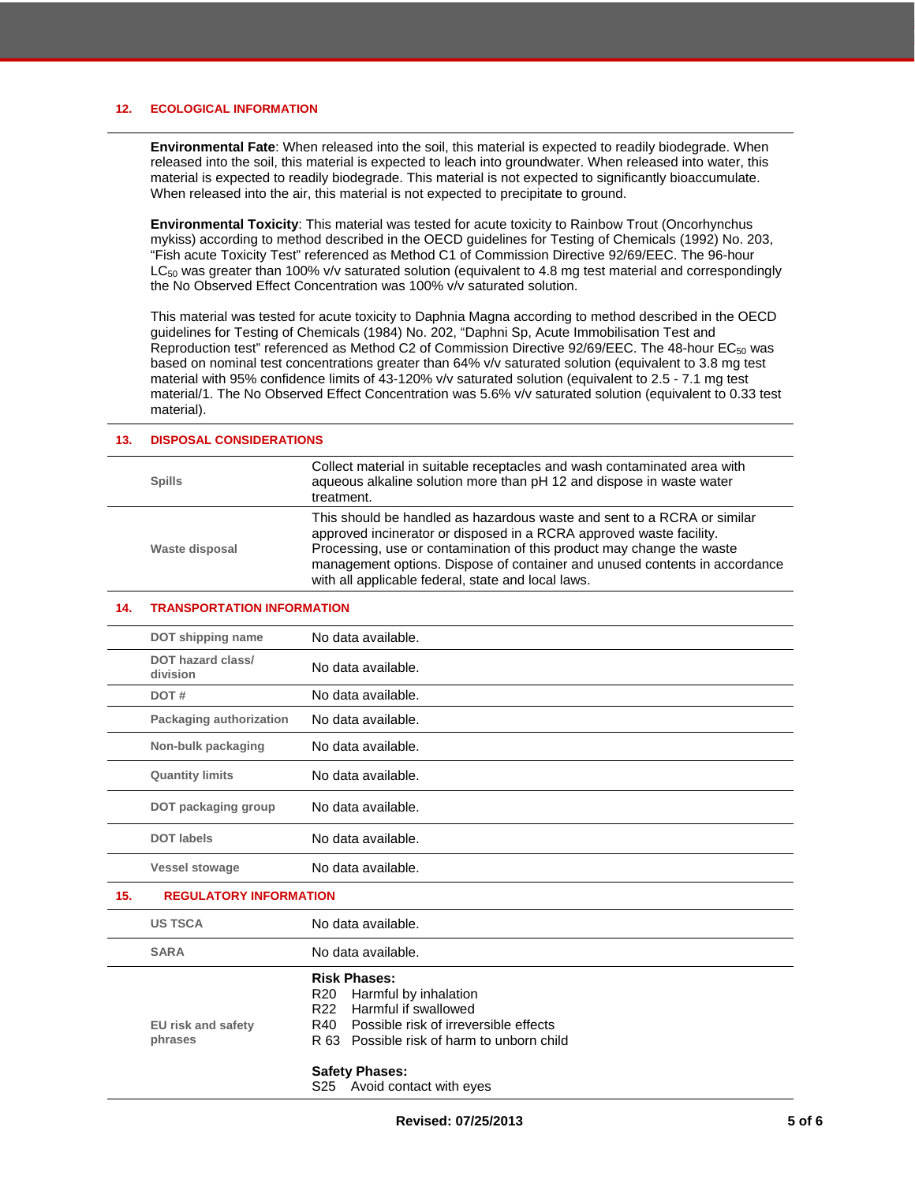#### **12. ECOLOGICAL INFORMATION**

**Environmental Fate**: When released into the soil, this material is expected to readily biodegrade. When released into the soil, this material is expected to leach into groundwater. When released into water, this material is expected to readily biodegrade. This material is not expected to significantly bioaccumulate. When released into the air, this material is not expected to precipitate to ground.

**Environmental Toxicity**: This material was tested for acute toxicity to Rainbow Trout (Oncorhynchus mykiss) according to method described in the OECD guidelines for Testing of Chemicals (1992) No. 203, "Fish acute Toxicity Test" referenced as Method C1 of Commission Directive 92/69/EEC. The 96-hour LC<sub>50</sub> was greater than 100% v/v saturated solution (equivalent to 4.8 mg test material and correspondingly the No Observed Effect Concentration was 100% v/v saturated solution.

This material was tested for acute toxicity to Daphnia Magna according to method described in the OECD guidelines for Testing of Chemicals (1984) No. 202, "Daphni Sp, Acute Immobilisation Test and Reproduction test" referenced as Method C2 of Commission Directive 92/69/EEC. The 48-hour EC<sub>50</sub> was based on nominal test concentrations greater than 64% v/v saturated solution (equivalent to 3.8 mg test material with 95% confidence limits of 43-120% v/v saturated solution (equivalent to 2.5 - 7.1 mg test material/1. The No Observed Effect Concentration was 5.6% v/v saturated solution (equivalent to 0.33 test material).

#### **13. DISPOSAL CONSIDERATIONS**

| <b>Spills</b>  | Collect material in suitable receptacles and wash contaminated area with<br>aqueous alkaline solution more than pH 12 and dispose in waste water<br>treatment.                                                                                                                                                                                              |
|----------------|-------------------------------------------------------------------------------------------------------------------------------------------------------------------------------------------------------------------------------------------------------------------------------------------------------------------------------------------------------------|
| Waste disposal | This should be handled as hazardous waste and sent to a RCRA or similar<br>approved incinerator or disposed in a RCRA approved waste facility.<br>Processing, use or contamination of this product may change the waste<br>management options. Dispose of container and unused contents in accordance<br>with all applicable federal, state and local laws. |

#### **14. TRANSPORTATION INFORMATION**

|     | DOT shipping name                    | No data available.                                                                                                                                                                                                                                                              |
|-----|--------------------------------------|---------------------------------------------------------------------------------------------------------------------------------------------------------------------------------------------------------------------------------------------------------------------------------|
|     | DOT hazard class/<br>division        | No data available.                                                                                                                                                                                                                                                              |
|     | DOT#                                 | No data available.                                                                                                                                                                                                                                                              |
|     | Packaging authorization              | No data available.                                                                                                                                                                                                                                                              |
|     | Non-bulk packaging                   | No data available.                                                                                                                                                                                                                                                              |
|     | <b>Quantity limits</b>               | No data available.                                                                                                                                                                                                                                                              |
|     | DOT packaging group                  | No data available.                                                                                                                                                                                                                                                              |
|     | <b>DOT labels</b>                    | No data available.                                                                                                                                                                                                                                                              |
|     | <b>Vessel stowage</b>                | No data available.                                                                                                                                                                                                                                                              |
| 15. | <b>REGULATORY INFORMATION</b>        |                                                                                                                                                                                                                                                                                 |
|     | <b>US TSCA</b>                       | No data available.                                                                                                                                                                                                                                                              |
|     | <b>SARA</b>                          | No data available.                                                                                                                                                                                                                                                              |
|     | <b>EU risk and safety</b><br>phrases | <b>Risk Phases:</b><br>R <sub>20</sub><br>Harmful by inhalation<br>Harmful if swallowed<br>R <sub>22</sub><br>Possible risk of irreversible effects<br>R40<br>R 63 Possible risk of harm to unborn child<br><b>Safety Phases:</b><br>S <sub>25</sub><br>Avoid contact with eyes |